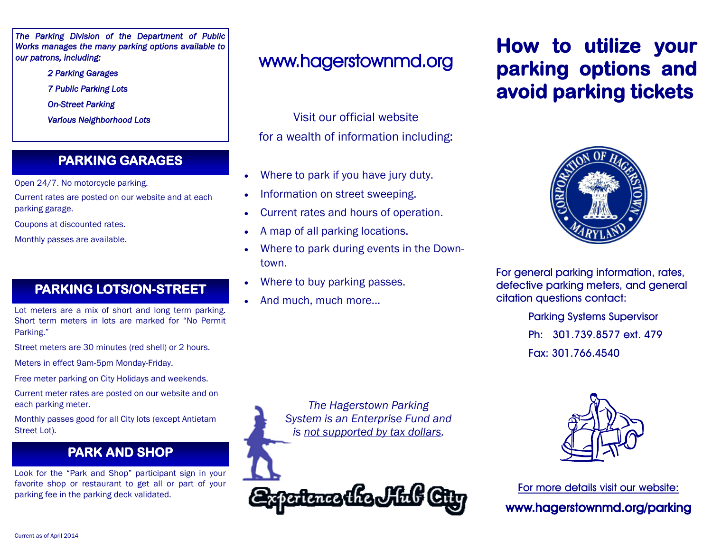*The Parking Division of the Department of Public Works manages the many parking options available to our patrons, including:* 

> *2 Parking Garages 7 Public Parking Lots On-Street Parking Various Neighborhood Lots*

### **PARKING GARAGES**

Open 24/7. No motorcycle parking.

- Current rates are posted on our website and at each parking garage.
- Coupons at discounted rates.
- Monthly passes are available.

## **PARKING LOTS/ON-STREET**

Lot meters are a mix of short and long term parking. Short term meters in lots are marked for "No Permit Parking."

Street meters are 30 minutes (red shell) or 2 hours.

Meters in effect 9am-5pm Monday-Friday.

Free meter parking on City Holidays and weekends.

Current meter rates are posted on our website and on each parking meter.

Monthly passes good for all City lots (except Antietam Street Lot).

## **PARK AND SHOP**

Look for the "Park and Shop" participant sign in your favorite shop or restaurant to get all or part of your parking fee in the parking deck validated.

# www.hagerstownmd.org

Visit our official website for a wealth of information including:

- Where to park if you have jury duty.
- Information on street sweeping.
- Current rates and hours of operation.
- A map of all parking locations.
- Where to park during events in the Downtown.
- Where to buy parking passes.
- And much, much more...

# **How to utilize your parking options and avoid parking tickets**



For general parking information, rates, defective parking meters, and general citation questions contact:

> Parking Systems Supervisor Ph: 301.739.8577 ext. 479 Fax: 301.766.4540

*The Hagerstown Parking System is an Enterprise Fund and is not supported by tax dollars.*



For more details visit our website: www.hagerstownmd.org/parking